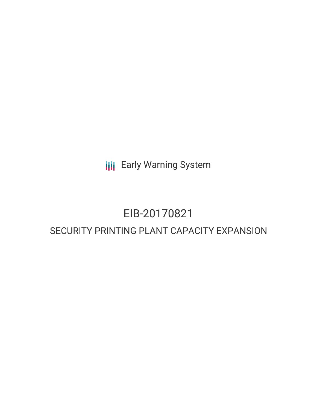**III** Early Warning System

## EIB-20170821

### SECURITY PRINTING PLANT CAPACITY EXPANSION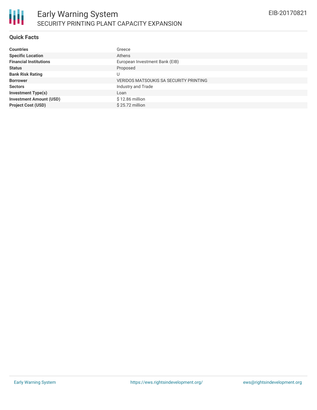#### **Quick Facts**

| <b>Countries</b>               | Greece                                        |
|--------------------------------|-----------------------------------------------|
| <b>Specific Location</b>       | Athens                                        |
| <b>Financial Institutions</b>  | European Investment Bank (EIB)                |
| <b>Status</b>                  | Proposed                                      |
| <b>Bank Risk Rating</b>        | U                                             |
| <b>Borrower</b>                | <b>VERIDOS MATSOUKIS SA SECURITY PRINTING</b> |
| <b>Sectors</b>                 | Industry and Trade                            |
| <b>Investment Type(s)</b>      | Loan                                          |
| <b>Investment Amount (USD)</b> | \$12.86 million                               |
| <b>Project Cost (USD)</b>      | $$25.72$ million                              |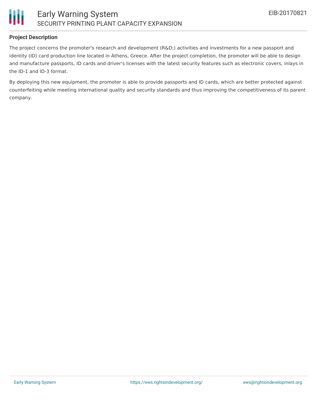

#### **Project Description**

The project concerns the promoter's research and development (R&D;) activities and investments for a new passport and identity (ID) card production line located in Athens, Greece. After the project completion, the promoter will be able to design and manufacture passports, ID cards and driver's licenses with the latest security features such as electronic covers, inlays in the ID-1 and ID-3 format.

By deploying this new equipment, the promoter is able to provide passports and ID cards, which are better protected against counterfeiting while meeting international quality and security standards and thus improving the competitiveness of its parent company.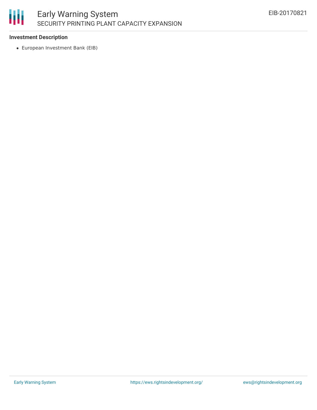#### **Investment Description**

European Investment Bank (EIB)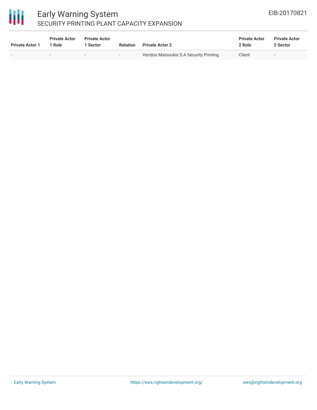# 冊

#### Early Warning System SECURITY PRINTING PLANT CAPACITY EXPANSION

| <b>Private Actor 1</b> | <b>Private Actor</b><br>1 Role | <b>Private Actor</b><br>1 Sector | Relation                 | <b>Private Actor 2</b>                  | <b>Private Actor</b><br>2 Role | <b>Private Actor</b><br>2 Sector |
|------------------------|--------------------------------|----------------------------------|--------------------------|-----------------------------------------|--------------------------------|----------------------------------|
| $\sim$                 | $\sim$                         | $\sim$                           | $\overline{\phantom{a}}$ | Veridos Matsoukis S.A Security Printing | Client                         |                                  |